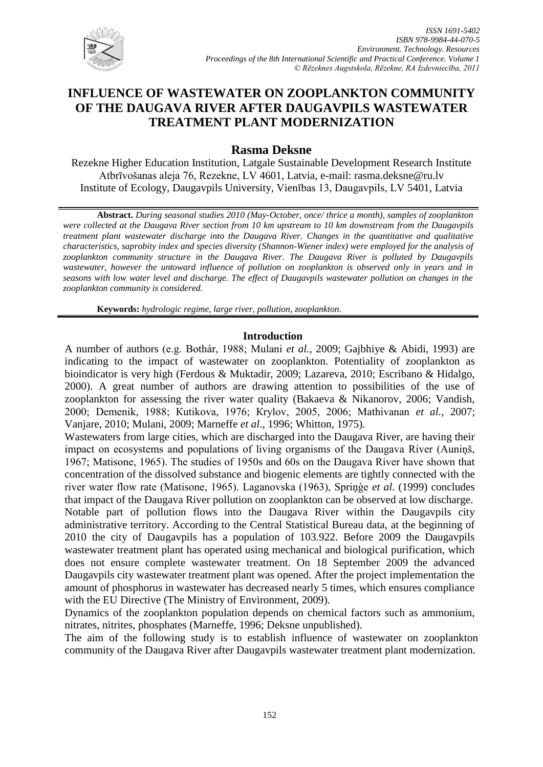

## **Rasma Deksne**

Rezekne Higher Education Institution, Latgale Sustainable Development Research Institute Atbrīvošanas aleja 76, Rezekne, LV 4601, Latvia, e-mail: [rasma.deksne@ru.lv](mailto:rasma.deksne@ru.lv) Institute of Ecology, Daugavpils University, Vienības 13, Daugavpils, LV 5401, Latvia

**Abstract.** *During seasonal studies 2010 (May-October, once/ thrice a month), samples of zooplankton were collected at the Daugava River section from 10 km upstream to 10 km downstream from the Daugavpils treatment plant wastewater discharge into the Daugava River. Changes in the quantitative and qualitative characteristics, saprobity index and species diversity (Shannon-Wiener index) were employed for the analysis of zooplankton community structure in the Daugava River. The Daugava River is polluted by Daugavpils wastewater, however the untoward influence of pollution on zooplankton is observed only in years and in seasons with low water level and discharge. The effect of Daugavpils wastewater pollution on changes in the zooplankton community is considered.*

**Keywords:** *hydrologic regime, large river, pollution, zooplankton.* 

## **Introduction**

A number of authors (e.g. Bothár, 1988; Mulani *et al.*, 2009; Gajbhiye & Abidi, 1993) are indicating to the impact of wastewater on zooplankton. Potentiality of zooplankton as bioindicator is very high (Ferdous & Muktadir, 2009; Lazareva, 2010; Escribano & Hidalgo, 2000). A great number of authors are drawing attention to possibilities of the use of zooplankton for assessing the river water quality (Bakaeva & Nikanorov, 2006; Vandish, 2000; Demenik, 1988; Кutikova, 1976; Кrylov, 2005, 2006; Mathivanan *et al.*, 2007; Vanjare, 2010; Mulani, 2009; Marneffe *et al*., 1996; Whitton, 1975).

Wastewaters from large cities, which are discharged into the Daugava River, are having their impact on ecosystems and populations of living organisms of the Daugava River (Auniņš, 1967; Мatisone, 1965). The studies of 1950s and 60s on the Daugava River have shown that concentration of the dissolved substance and biogenic elements are tightly connected with the river water flow rate (Мatisone, 1965). Laganovska (1963), Spriņģe *et al*. (1999) concludes that impact of the Daugava River pollution on zooplankton can be observed at low discharge. Notable part of pollution flows into the Daugava River within the Daugavpils city administrative territory. According to the Central Statistical Bureau data, at the beginning of 2010 the city of Daugavpils has a population of 103.922. Before 2009 the Daugavpils

wastewater treatment plant has operated using mechanical and biological purification, which does not ensure complete wastewater treatment. On 18 September 2009 the advanced Daugavpils city wastewater treatment plant was opened. After the project implementation the amount of phosphorus in wastewater has decreased nearly 5 times, which ensures compliance with the EU Directive (The Ministry of Environment, 2009).

Dynamics of the zooplankton population depends on chemical factors such as ammonium, nitrates, nitrites, phosphates (Marneffe, 1996; Deksne unpublished).

The aim of the following study is to establish influence of wastewater on zooplankton community of the Daugava River after Daugavpils wastewater treatment plant modernization.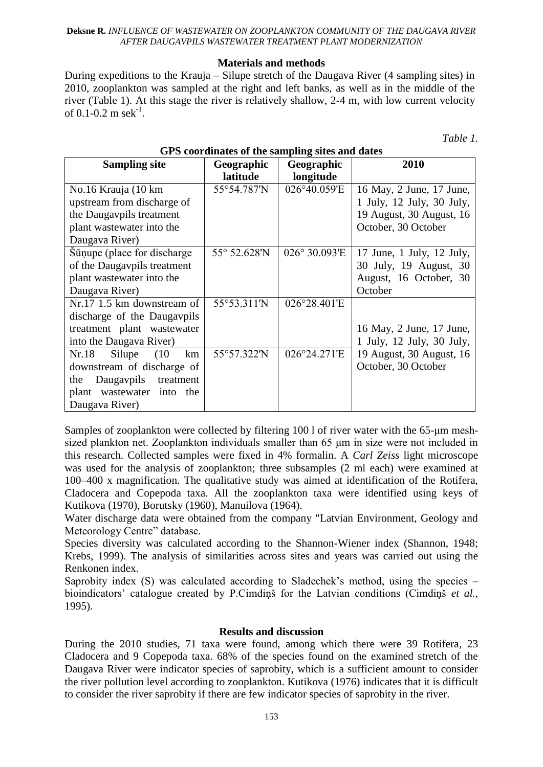## **Materials and methods**

During expeditions to the Krauja – Silupe stretch of the Daugava River (4 sampling sites) in 2010, zooplankton was sampled at the right and left banks, as well as in the middle of the river (Table 1). At this stage the river is relatively shallow, 2-4 m, with low current velocity of 0.1-0.2 m sek $^{-1}$ .

*Table 1.* 

| <b>Sampling site</b>          | Geographic   | Geographic    | 2010                      |  |
|-------------------------------|--------------|---------------|---------------------------|--|
|                               | latitude     | longitude     |                           |  |
| No.16 Krauja (10 km           | 55°54.787'N  | 026°40.059'E  | 16 May, 2 June, 17 June,  |  |
| upstream from discharge of    |              |               | 1 July, 12 July, 30 July, |  |
| the Daugavpils treatment      |              |               | 19 August, 30 August, 16  |  |
| plant wastewater into the     |              |               | October, 30 October       |  |
| Daugava River)                |              |               |                           |  |
| Sūņupe (place for discharge   | 55° 52.628'N | 026° 30.093'E | 17 June, 1 July, 12 July, |  |
| of the Daugavpils treatment   |              |               | 30 July, 19 August, 30    |  |
| plant wastewater into the     |              |               | August, 16 October, 30    |  |
| Daugava River)                |              |               | October                   |  |
| Nr.17 1.5 km downstream of    | 55°53.311'N  | 026°28.401'E  |                           |  |
| discharge of the Daugavpils   |              |               |                           |  |
| treatment plant wastewater    |              |               | 16 May, 2 June, 17 June,  |  |
| into the Daugava River)       |              |               | 1 July, 12 July, 30 July, |  |
| Silupe<br>Nr.18<br>(10)<br>km | 55°57.322'N  | 026°24.271'E  | 19 August, 30 August, 16  |  |
| downstream of discharge of    |              |               | October, 30 October       |  |
| Daugavpils treatment<br>the   |              |               |                           |  |
| plant wastewater into the     |              |               |                           |  |
| Daugava River)                |              |               |                           |  |

## **GPS coordinates of the sampling sites and dates**

Samples of zooplankton were collected by filtering 100 l of river water with the 65-μm meshsized plankton net. Zooplankton individuals smaller than 65 μm in size were not included in this research. Collected samples were fixed in 4% formalin. A *Carl Zeiss* light microscope was used for the analysis of zooplankton; three subsamples (2 ml each) were examined at 100–400 x magnification. The qualitative study was aimed at identification of the Rotifera, Cladocera and Copepoda taxa. All the zooplankton taxa were identified using keys of Kutikova (1970), Borutsky (1960), Manuilova (1964).

Water discharge data were obtained from the company "Latvian Environment, Geology and Meteorology Centre" database.

Species diversity was calculated according to the Shannon-Wiener index (Shannon, 1948; Krebs, 1999). The analysis of similarities across sites and years was carried out using the Renkonen index.

Saprobity index (S) was calculated according to Sladechek's method, using the species – bioindicators' catalogue created by P.Cimdiņš for the Latvian conditions (Cimdiņš *et al.,* 1995).

## **Results and discussion**

During the 2010 studies, 71 taxa were found, among which there were 39 Rotifera*,* 23 Cladocera and 9 Copepoda taxa. 68% of the species found on the examined stretch of the Daugava River were indicator species of saprobity, which is a sufficient amount to consider the river pollution level according to zooplankton. Kutikova (1976) indicates that it is difficult to consider the river saprobity if there are few indicator species of saprobity in the river.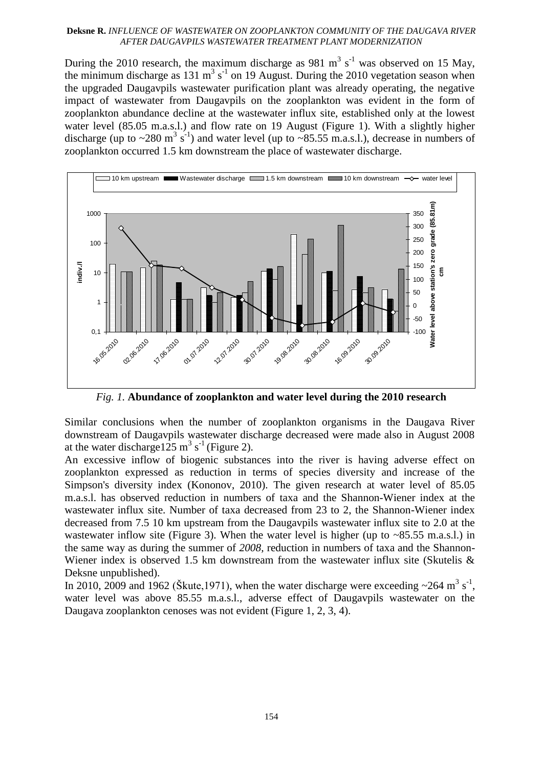During the 2010 research, the maximum discharge as 981 m<sup>3</sup> s<sup>-1</sup> was observed on 15 May, the minimum discharge as 131 m<sup>3</sup> s<sup>-1</sup> on 19 August. During the 2010 vegetation season when the upgraded Daugavpils wastewater purification plant was already operating, the negative impact of wastewater from Daugavpils on the zooplankton was evident in the form of zooplankton abundance decline at the wastewater influx site, established only at the lowest water level (85.05 m.a.s.l.) and flow rate on 19 August (Figure 1). With a slightly higher discharge (up to  $\sim$ 280 m<sup>3</sup> s<sup>-1</sup>) and water level (up to  $\sim$ 85.55 m.a.s.l.), decrease in numbers of zooplankton occurred 1.5 km downstream the place of wastewater discharge.



*Fig. 1.* **Abundance of zooplankton and water level during the 2010 research**

Similar conclusions when the number of zooplankton organisms in the Daugava River downstream of Daugavpils wastewater discharge decreased were made also in August 2008 at the water discharge 125 m<sup>3</sup> s<sup>-1</sup> (Figure 2).

An excessive inflow of biogenic substances into the river is having adverse effect on zooplankton expressed as reduction in terms of species diversity and increase of the Simpson's diversity index (Kononov, 2010). The given research at water level of 85.05 m.a.s.l. has observed reduction in numbers of taxa and the Shannon-Wiener index at the wastewater influx site. Number of taxa decreased from 23 to 2, the Shannon-Wiener index decreased from 7.5 10 km upstream from the Daugavpils wastewater influx site to 2.0 at the wastewater inflow site (Figure 3). When the water level is higher (up to  $\sim 85.55$  m.a.s.l.) in the same way as during the summer of *2008,* reduction in numbers of taxa and the Shannon*-*Wiener index is observed 1.5 km downstream from the wastewater influx site (Skutelis  $\&$ Deksne unpublished).

In 2010, 2009 and 1962 (Škute, 1971), when the water discharge were exceeding  $\sim$ 264 m<sup>3</sup> s<sup>-1</sup>, water level was above 85.55 m.a.s.l., adverse effect of Daugavpils wastewater on the Daugava zooplankton cenoses was not evident (Figure 1, 2, 3, 4).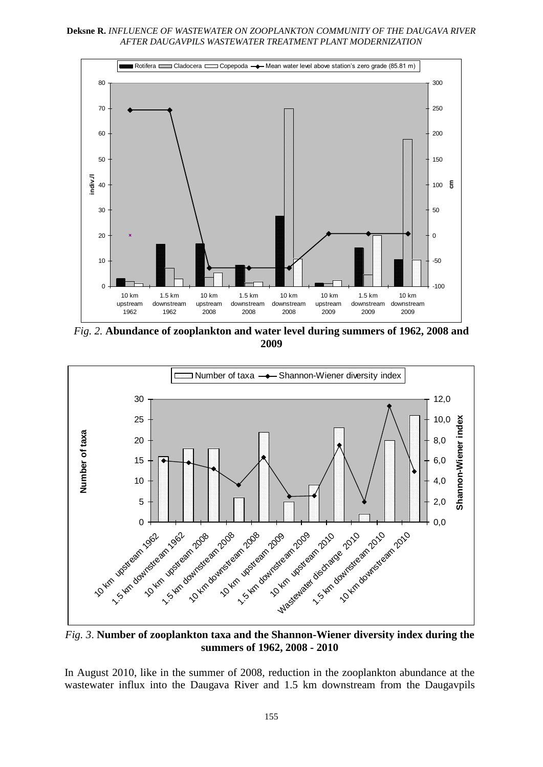**Deksne R.** *INFLUENCE OF WASTEWATER ON ZOOPLANKTON COMMUNITY OF THE DAUGAVA RIVER AFTER DAUGAVPILS WASTEWATER TREATMENT PLANT MODERNIZATION*



*Fig. 2.* **Abundance of zooplankton and water level during summers of 1962, 2008 and 2009**



*Fig. 3*. **Number of zooplankton taxa and the Shannon-Wiener diversity index during the summers of 1962, 2008 - 2010**

In August 2010, like in the summer of 2008, reduction in the zooplankton abundance at the wastewater influx into the Daugava River and 1.5 km downstream from the Daugavpils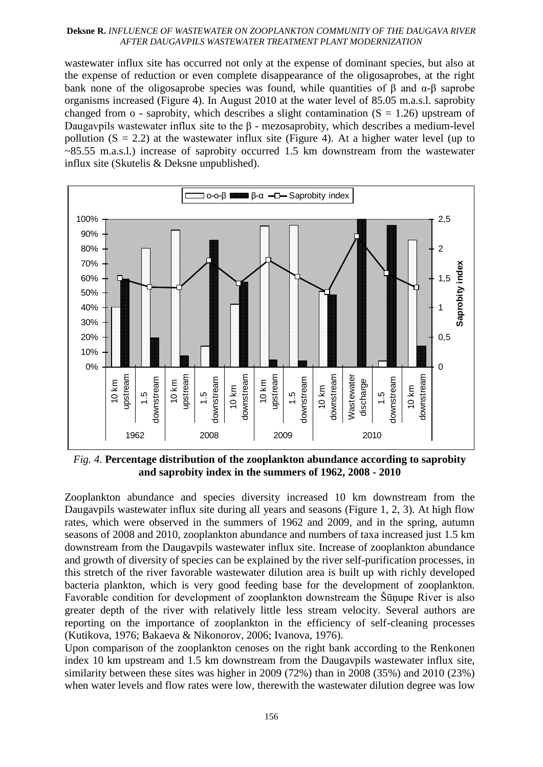wastewater influx site has occurred not only at the expense of dominant species, but also at the expense of reduction or even complete disappearance of the oligosaprobes, at the right bank none of the oligosaprobe species was found, while quantities of  $\beta$  and  $\alpha$ - $\beta$  saprobe organisms increased (Figure 4). In August 2010 at the water level of 85.05 m.a.s.l. saprobity changed from o - saprobity, which describes a slight contamination  $(S = 1.26)$  upstream of Daugavpils wastewater influx site to the β - mezosaprobity, which describes a medium-level pollution  $(S = 2.2)$  at the wastewater influx site (Figure 4). At a higher water level (up to  $\sim$ 85.55 m.a.s.l.) increase of saprobity occurred 1.5 km downstream from the wastewater influx site (Skutelis & Deksne unpublished).



*Fig. 4.* **Percentage distribution of the zooplankton abundance according to saprobity and saprobity index in the summers of 1962, 2008 - 2010**

Zooplankton abundance and species diversity increased 10 km downstream from the Daugavpils wastewater influx site during all years and seasons (Figure 1, 2, 3). At high flow rates, which were observed in the summers of 1962 and 2009, and in the spring, autumn seasons of 2008 and 2010, zooplankton abundance and numbers of taxa increased just 1.5 km downstream from the Daugavpils wastewater influx site. Increase of zooplankton abundance and growth of diversity of species can be explained by the river self-purification processes, in this stretch of the river favorable wastewater dilution area is built up with richly developed bacteria plankton, which is very good feeding base for the development of zooplankton. Favorable condition for development of zooplankton downstream the Šūņupe River is also greater depth of the river with relatively little less stream velocity. Several authors are reporting on the importance of zooplankton in the efficiency of self-cleaning processes (Kutikova, 1976; Bakaeva & Nikonorov, 2006; Ivanova, 1976).

Upon comparison of the zooplankton cenoses on the right bank according to the Renkonen index 10 km upstream and 1.5 km downstream from the Daugavpils wastewater influx site, similarity between these sites was higher in 2009 (72%) than in 2008 (35%) and 2010 (23%) when water levels and flow rates were low, therewith the wastewater dilution degree was low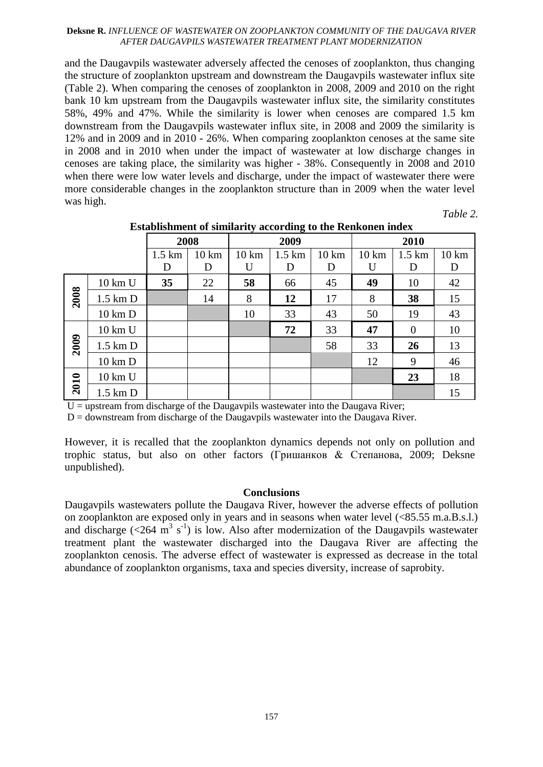and the Daugavpils wastewater adversely affected the cenoses of zooplankton, thus changing the structure of zooplankton upstream and downstream the Daugavpils wastewater influx site (Table 2). When comparing the cenoses of zooplankton in 2008, 2009 and 2010 on the right bank 10 km upstream from the Daugavpils wastewater influx site, the similarity constitutes 58%, 49% and 47%. While the similarity is lower when cenoses are compared 1.5 km downstream from the Daugavpils wastewater influx site, in 2008 and 2009 the similarity is 12% and in 2009 and in 2010 - 26%. When comparing zooplankton cenoses at the same site in 2008 and in 2010 when under the impact of wastewater at low discharge changes in cenoses are taking place, the similarity was higher - 38%. Consequently in 2008 and 2010 when there were low water levels and discharge, under the impact of wastewater there were more considerable changes in the zooplankton structure than in 2009 when the water level was high.

*Table 2.* 

|      |                   | 2008             |                  | 2009            |                   | 2010             |                  |                   |                  |
|------|-------------------|------------------|------------------|-----------------|-------------------|------------------|------------------|-------------------|------------------|
|      |                   | $1.5 \text{ km}$ | $10 \mathrm{km}$ | $10 \text{ km}$ | $1.5 \mathrm{km}$ | $10 \mathrm{km}$ | $10 \mathrm{km}$ | $1.5 \mathrm{km}$ | $10 \mathrm{km}$ |
|      |                   | D                | D                | U               | D                 | D                | U                | D                 | D                |
| 2008 | 10 km U           | 35               | 22               | 58              | 66                | 45               | 49               | 10                | 42               |
|      | $1.5$ km $D$      |                  | 14               | 8               | 12                | 17               | 8                | 38                | 15               |
|      | $10 \text{ km}$ D |                  |                  | 10              | 33                | 43               | 50               | 19                | 43               |
| 2009 | 10 km U           |                  |                  |                 | 72                | 33               | 47               | $\theta$          | 10               |
|      | $1.5$ km $D$      |                  |                  |                 |                   | 58               | 33               | 26                | 13               |
|      | $10 \text{ km}$ D |                  |                  |                 |                   |                  | 12               | 9                 | 46               |
| 2010 | 10 km U           |                  |                  |                 |                   |                  |                  | 23                | 18               |
|      | $1.5$ km $D$      |                  |                  |                 |                   |                  |                  |                   | 15               |

**Establishment of similarity according to the Renkonen index**

 $U =$  upstream from discharge of the Daugavpils wastewater into the Daugava River;

 $D =$  downstream from discharge of the Daugavpils wastewater into the Daugava River.

However, it is recalled that the zooplankton dynamics depends not only on pollution and trophic status, but also on other factors (Гришанков & Степанова, 2009; Deksne unpublished).

### **Conclusions**

Daugavpils wastewaters pollute the Daugava River, however the adverse effects of pollution on zooplankton are exposed only in years and in seasons when water level (<85.55 m.a.B.s.l.) and discharge  $(<264 \text{ m}^3 \text{ s}^{-1})$  is low. Also after modernization of the Daugavpils wastewater treatment plant the wastewater discharged into the Daugava River are affecting the zooplankton cenosis. The adverse effect of wastewater is expressed as decrease in the total abundance of zooplankton organisms, taxa and species diversity, increase of saprobity.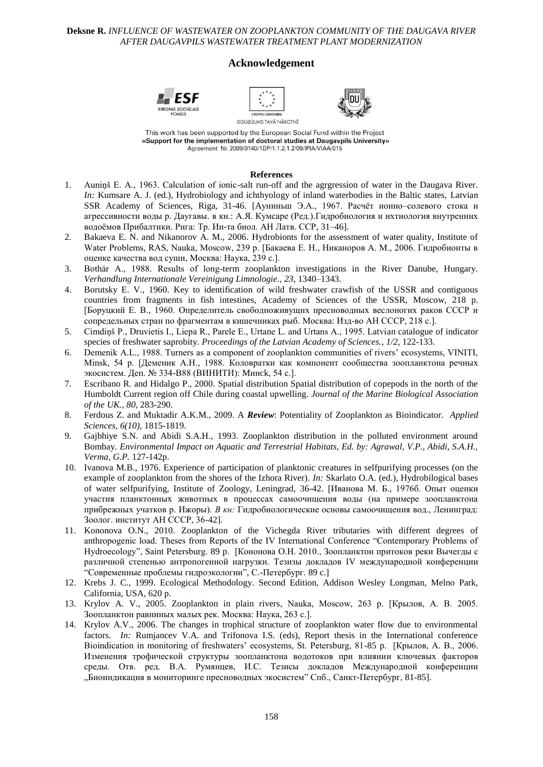#### **Acknowledgement**







This work has been supported by the European Social Fund within the Project «Support for the implementation of doctoral studies at Daugavpils University» Agreement Nr. 2009/0140/1DP/1.1.2.1.2/09/IPIA/VIAA/015

#### **References**

- 1. Auniņš E. A., 1963. Calculation of ionic-salt run-off and the agrgression of water in the Daugava River. *In:* Kumsare A. J. (ed.), Hydrobiology and ichthyology of inland waterbodies in the Baltic states, Latvian SSR Academy of Sciences, Riga, 31-46. [Aуниньш Э.А., 1967. Расчѐт ионно–солевого стока и агрессивности воды р. Даугавы. в кн.: А.Я. Кумсаре (Ред.).Гидробиология и ихтиология внутренних водоѐмов Прибалтики. Рига: Тр. Ин-та биол. АН Латв. ССР, 31–46].
- 2. Bakaeva E. N. and Nikanorov A. M., 2006. Hydrobionts for the assessment of water quality, Institute of Water Problems, RAS, Nauka, Moscow, 239 p. [Бакаева Е. Н., Никаноров А. М., 2006. Гидробионты в оценке качества вод суши, Москва: Наука, 239 c.].
- 3. Bothár A., 1988. Results of long-term zooplankton investigations in the River Danube, Hungary. *Verhandlung Internationale Vereinigung Limnologie., 23*, 1340–1343.
- 4. Borutsky E. V., 1960. Key to identification of wild freshwater crawfish of the USSR and contiguous countries from fragments in fish intestines, Academy of Sciences of the USSR, Moscow, 218 p. [Боруцкий Е. В., 1960. Определитель свободноживущих пресноводных веслоногих раков СССР и сопредельных стран по фрагментам в кишечниках рыб. Москва: Изд-во АН СССР, 218 c.].
- 5. Cimdiņš P., Druvietis I., Liepa R., Parele E., Urtane L. and Urtans A., 1995. Latvian catalogue of indicator species of freshwater saprobity. *Proceedings of the Latvian Academy of Sciences.*, *1/2*, 122-133.
- 6. Demenik A.L., 1988. Turners as a component of zooplankton communities of rivers' ecosystems, VINITI, Minsk, 54 p. [Деменик А.Н., 1988. Коловратки как компонент сообщества зоопланктона речных экосистем. Деп. № 334-В88 (ВИНИТИ): Mинck, 54 с.].
- 7. Escribano R. and Hidalgo P., 2000. Spatial distribution Spatial distribution of copepods in the north of the Humboldt Current region off Chile during coastal upwelling. *Journal of the Marine Biological Association of the UK.*, *80,* 283-290.
- 8. Ferdous Z. and Muktadir A.K.M., 2009. A *Review*: Potentiality of Zooplankton as Bioindicator. *Applied Sciences, 6(10),* 1815-1819.
- 9. Gajbhiye S.N. and Abidi S.A.H., 1993. Zooplankton distribution in the polluted environment around Bombay. *Environmental Impact on Aquatic and Terrestrial Habitats, Ed. by: Agrawal, V.P., Abidi, S.A.H., Verma, G.P.* 127-142p.
- 10. Ivanova M.B., 1976. Experience of participation of planktonic creatures in selfpurifying processes (on the example of zooplankton from the shores of the Izhora River). *In:* Skarlato O.A. (ed.), Hydrobilogical bases of water selfpurifying, Institute of Zoology, Leningrad, 36-42. [Иванова М. Б., 1976б. Опыт оценки участия планктонных животных в процессах самоочищения воды (на примере зоопланктона прибрежных учатков р. Ижоры). *В кн:* Гидробиологические основы самоочищения вод., Ленинград: Зоолог. институт АН СССР, 36-42].
- 11. Kononova O.N., 2010. Zooplankton of the Vichegda River tributaries with different degrees of anthropogenic load. Theses from Reports of the IV International Conference "Contemporary Problems of Hydroecology", Saint Petersburg. 89 p. [Кононова О.Н. 2010., Зоопланктон притоков реки Bычегды с различной степенью антропогенной нагрузки. Тезизы докладов IV международной конференции "Современные проблемы гидроэкологии", С.-Петербург. 89 c.]
- 12. Krebs J. C., 1999. Ecological Methodology. Second Edition, Addison Wesley Longman, Melno Park, California, USA, 620 p.
- 13. Krylov A. V., 2005. Zooplankton in plain rivers, Nauka, Moscow, 263 p. [Крылов, А. В. 2005. Зоопланктон равниных малых рек. Москва: Наука, 263 c.].
- 14. Krylov A.V., 2006. The changes in trophical structure of zooplankton water flow due to environmental factors. *In:* Rumjancev V.A. and Trifonova I.S. (eds), Report thesis in the International conference Bioindication in monitoring of freshwaters' ecosystems, St. Petersburg, 81-85 p. [Крылов, А. В., 2006. Изменения трофической структуры зоопланктона водотоков при влиянии ключевых факторов среды. Отв. ред. В.А. Румянцев, И.С. Тезисы докладов Международной конференции "Биоиндикация в мониторинге пресноводных экосистем" Спб., Санкт-Петербург, 81-85].